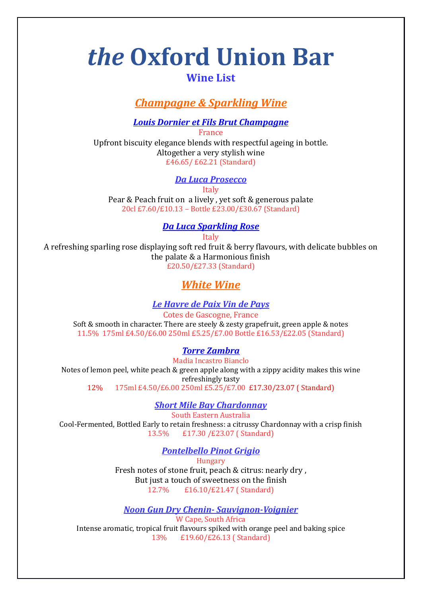# *the* **Oxford Union Bar**

## **Wine List**

# *Champagne & Sparkling Wine*

*Louis Dornier et Fils Brut Champagne*

France Upfront biscuity elegance blends with respectful ageing in bottle. Altogether a very stylish wine £46.65/ £62.21 (Standard)

#### *Da Luca Prosecco*

Italy

Pear & Peach fruit on a lively , yet soft & generous palate 20cl £7.60/£10.13 – Bottle £23.00/£30.67 (Standard)

#### *Da Luca Sparkling Rose*

Italy

A refreshing sparling rose displaying soft red fruit & berry flavours, with delicate bubbles on the palate & a Harmonious finish £20.50/£27.33 (Standard)

# *White Wine*

#### *Le Havre de Paix Vin de Pays*

Cotes de Gascogne, France Soft & smooth in character. There are steely & zesty grapefruit, green apple & notes 11.5% 175ml £4.50/£6.00 250ml £5.25/£7.00 Bottle £16.53/£22.05 (Standard)

#### *Torre Zambra*

Madia Incastro Bianclo Notes of lemon peel, white peach & green apple along with a zippy acidity makes this wine refreshingly tasty 12% 175ml £4.50/£6.00 250ml £5.25/£7.00 £17.30/23.07 ( Standard)

#### *Short Mile Bay Chardonnay*

South Eastern Australia Cool-Fermented, Bottled Early to retain freshness: a citrussy Chardonnay with a crisp finish 13.5% £17.30 /£23.07 ( Standard)

## *Pontelbello Pinot Grigio*

Hungary Fresh notes of stone fruit, peach & citrus: nearly dry , But just a touch of sweetness on the finish 12.7% £16.10/£21.47 ( Standard)

*Noon Gun Dry Chenin- Sauvignon-Voignier*

W Cape, South Africa Intense aromatic, tropical fruit flavours spiked with orange peel and baking spice 13% £19.60/£26.13 ( Standard)